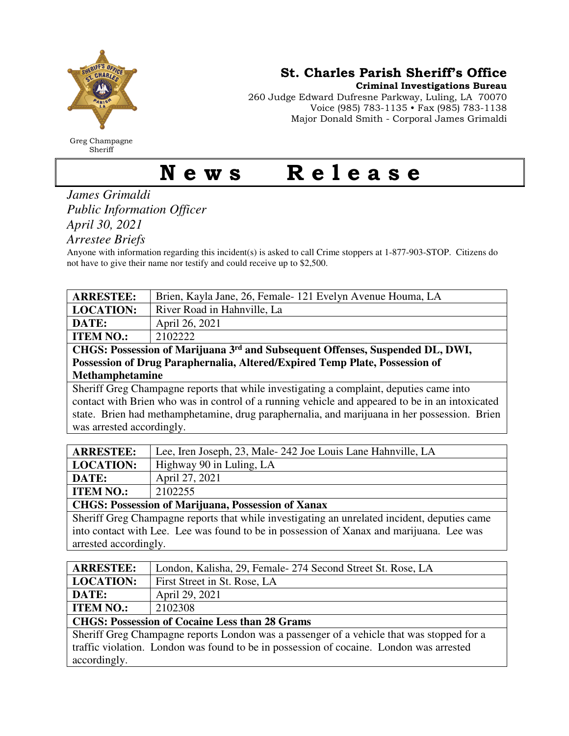

Greg Champagne Sheriff

St. Charles Parish Sheriff's Office

Criminal Investigations Bureau

260 Judge Edward Dufresne Parkway, Luling, LA 70070 Voice (985) 783-1135 • Fax (985) 783-1138 Major Donald Smith - Corporal James Grimaldi

## News Release

*James Grimaldi Public Information Officer April 30, 2021* 

*Arrestee Briefs* 

Anyone with information regarding this incident(s) is asked to call Crime stoppers at 1-877-903-STOP. Citizens do not have to give their name nor testify and could receive up to \$2,500.

| <b>ARRESTEE:</b>                                                                                | Brien, Kayla Jane, 26, Female-121 Evelyn Avenue Houma, LA   |  |
|-------------------------------------------------------------------------------------------------|-------------------------------------------------------------|--|
| <b>LOCATION:</b>                                                                                | River Road in Hahnville, La                                 |  |
| DATE:                                                                                           | April 26, 2021                                              |  |
| <b>ITEM NO.:</b>                                                                                | 2102222                                                     |  |
| CHGS: Possession of Marijuana 3 <sup>rd</sup> and Subsequent Offenses, Suspended DL, DWI,       |                                                             |  |
| Possession of Drug Paraphernalia, Altered/Expired Temp Plate, Possession of                     |                                                             |  |
| <b>Methamphetamine</b>                                                                          |                                                             |  |
| Sheriff Greg Champagne reports that while investigating a complaint, deputies came into         |                                                             |  |
| contact with Brien who was in control of a running vehicle and appeared to be in an intoxicated |                                                             |  |
| state. Brien had methamphetamine, drug paraphernalia, and marijuana in her possession. Brien    |                                                             |  |
| was arrested accordingly.                                                                       |                                                             |  |
|                                                                                                 |                                                             |  |
| <b>ARRESTEE:</b>                                                                                | Lee, Iren Joseph, 23, Male-242 Joe Louis Lane Hahnville, LA |  |
| <b>LOCATION:</b>                                                                                | Highway 90 in Luling, LA                                    |  |
| DATE:                                                                                           | April 27, 2021                                              |  |
| <b>ITEM NO.:</b>                                                                                | 2102255                                                     |  |
| <b>CHGS: Possession of Marijuana, Possession of Xanax</b>                                       |                                                             |  |
| Sheriff Greg Champagne reports that while investigating an unrelated incident, deputies came    |                                                             |  |
| into contact with Lee. Lee was found to be in possession of Xanax and marijuana. Lee was        |                                                             |  |
| arrested accordingly.                                                                           |                                                             |  |

| <b>ARRESTEE:</b>                                                                          | London, Kalisha, 29, Female- 274 Second Street St. Rose, LA |  |
|-------------------------------------------------------------------------------------------|-------------------------------------------------------------|--|
| <b>LOCATION:</b>                                                                          | First Street in St. Rose, LA                                |  |
| DATE:                                                                                     | April 29, 2021                                              |  |
| <b>ITEM NO.:</b>                                                                          | 2102308                                                     |  |
| <b>CHGS: Possession of Cocaine Less than 28 Grams</b>                                     |                                                             |  |
| Sheriff Greg Champagne reports London was a passenger of a vehicle that was stopped for a |                                                             |  |
| traffic violation. London was found to be in possession of cocaine. London was arrested   |                                                             |  |
| accordingly.                                                                              |                                                             |  |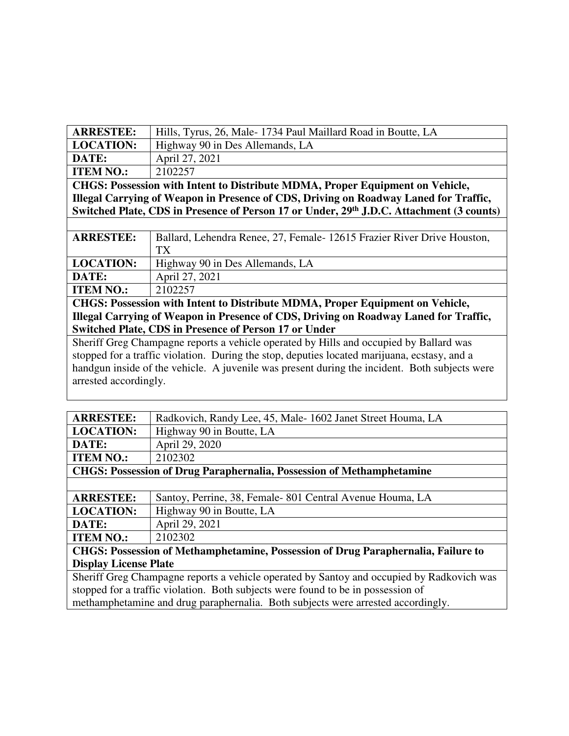| <b>ARRESTEE:</b>                                                                                     | Hills, Tyrus, 26, Male-1734 Paul Maillard Road in Boutte, LA             |  |
|------------------------------------------------------------------------------------------------------|--------------------------------------------------------------------------|--|
| <b>LOCATION:</b>                                                                                     | Highway 90 in Des Allemands, LA                                          |  |
| DATE:                                                                                                | April 27, 2021                                                           |  |
| <b>ITEM NO.:</b>                                                                                     | 2102257                                                                  |  |
| CHGS: Possession with Intent to Distribute MDMA, Proper Equipment on Vehicle,                        |                                                                          |  |
| Illegal Carrying of Weapon in Presence of CDS, Driving on Roadway Laned for Traffic,                 |                                                                          |  |
| Switched Plate, CDS in Presence of Person 17 or Under, 29 <sup>th</sup> J.D.C. Attachment (3 counts) |                                                                          |  |
|                                                                                                      |                                                                          |  |
| <b>ARRESTEE:</b>                                                                                     | Ballard, Lehendra Renee, 27, Female - 12615 Frazier River Drive Houston, |  |
|                                                                                                      | TX.                                                                      |  |
| <b>LOCATION:</b>                                                                                     | Highway 90 in Des Allemands, LA                                          |  |
| DATE:                                                                                                | April 27, 2021                                                           |  |
| <b>ITEM NO.:</b>                                                                                     | 2102257                                                                  |  |
| CHGS: Possession with Intent to Distribute MDMA, Proper Equipment on Vehicle,                        |                                                                          |  |
| Illegal Carrying of Weapon in Presence of CDS, Driving on Roadway Laned for Traffic,                 |                                                                          |  |
| <b>Switched Plate, CDS in Presence of Person 17 or Under</b>                                         |                                                                          |  |
| Sheriff Greg Champagne reports a vehicle operated by Hills and occupied by Ballard was               |                                                                          |  |
| standed for a traffic violation. During the stop, deputies located meriusne, exctesy and a           |                                                                          |  |

stopped for a traffic violation. During the stop, deputies located marijuana, ecstasy, and a handgun inside of the vehicle. A juvenile was present during the incident. Both subjects were arrested accordingly.

| <b>ARRESTEE:</b>                                                                          | Radkovich, Randy Lee, 45, Male-1602 Janet Street Houma, LA |  |
|-------------------------------------------------------------------------------------------|------------------------------------------------------------|--|
| <b>LOCATION:</b>                                                                          | Highway 90 in Boutte, LA                                   |  |
| DATE:                                                                                     | April 29, 2020                                             |  |
| <b>ITEM NO.:</b>                                                                          | 2102302                                                    |  |
| <b>CHGS: Possession of Drug Paraphernalia, Possession of Methamphetamine</b>              |                                                            |  |
|                                                                                           |                                                            |  |
| <b>ARRESTEE:</b>                                                                          | Santoy, Perrine, 38, Female-801 Central Avenue Houma, LA   |  |
| <b>LOCATION:</b>                                                                          | Highway 90 in Boutte, LA                                   |  |
| DATE:                                                                                     | April 29, 2021                                             |  |
| <b>ITEM NO.:</b>                                                                          | 2102302                                                    |  |
| CHGS: Possession of Methamphetamine, Possession of Drug Paraphernalia, Failure to         |                                                            |  |
| <b>Display License Plate</b>                                                              |                                                            |  |
| Sheriff Greg Champagne reports a vehicle operated by Santoy and occupied by Radkovich was |                                                            |  |
| stopped for a traffic violation. Both subjects were found to be in possession of          |                                                            |  |
| methamphetamine and drug paraphernalia. Both subjects were arrested accordingly.          |                                                            |  |